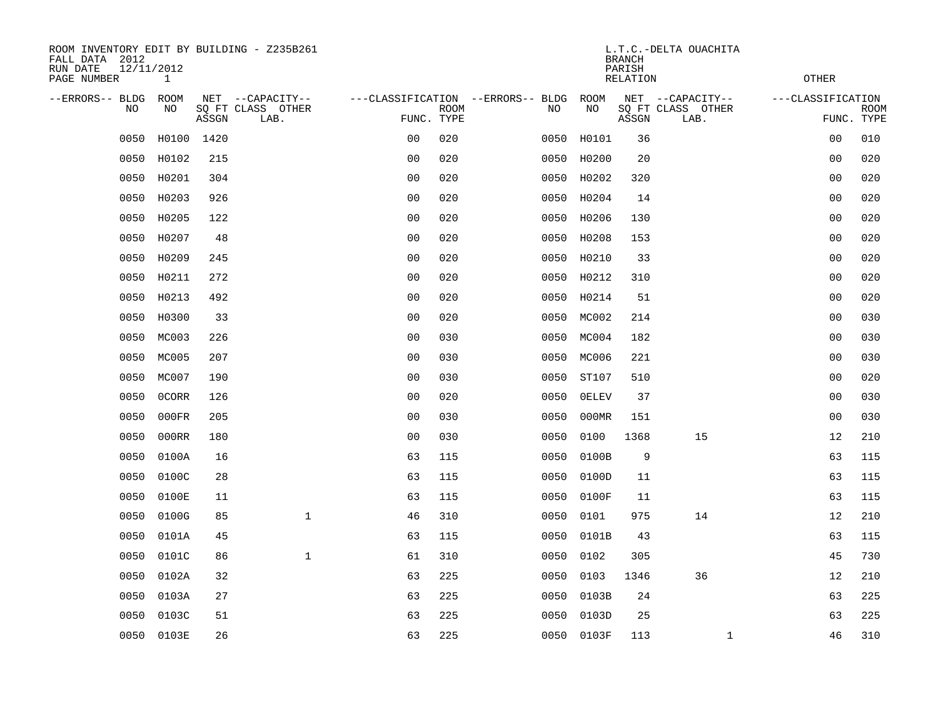| ROOM INVENTORY EDIT BY BUILDING - Z235B261<br>FALL DATA 2012<br>RUN DATE<br>PAGE NUMBER | 12/11/2012<br>$\mathbf{1}$ |       |                                               |                                                 |             | L.T.C.-DELTA OUACHITA<br><b>BRANCH</b><br>PARISH<br><b>RELATION</b><br><b>OTHER</b> |      |              |       |                                               |                   |                           |  |  |
|-----------------------------------------------------------------------------------------|----------------------------|-------|-----------------------------------------------|-------------------------------------------------|-------------|-------------------------------------------------------------------------------------|------|--------------|-------|-----------------------------------------------|-------------------|---------------------------|--|--|
| --ERRORS-- BLDG<br><b>NO</b>                                                            | ROOM<br>NO.                | ASSGN | NET --CAPACITY--<br>SQ FT CLASS OTHER<br>LAB. | ---CLASSIFICATION --ERRORS-- BLDG<br>FUNC. TYPE | <b>ROOM</b> |                                                                                     | NO   | ROOM<br>NO   | ASSGN | NET --CAPACITY--<br>SQ FT CLASS OTHER<br>LAB. | ---CLASSIFICATION | <b>ROOM</b><br>FUNC. TYPE |  |  |
| 0050                                                                                    | H0100                      | 1420  |                                               | 0 <sub>0</sub>                                  | 020         |                                                                                     | 0050 | H0101        | 36    |                                               | 0 <sub>0</sub>    | 010                       |  |  |
| 0050                                                                                    | H0102                      | 215   |                                               | 0 <sub>0</sub>                                  | 020         |                                                                                     | 0050 | H0200        | 20    |                                               | 0 <sub>0</sub>    | 020                       |  |  |
| 0050                                                                                    | H0201                      | 304   |                                               | 0 <sub>0</sub>                                  | 020         |                                                                                     | 0050 | H0202        | 320   |                                               | 0 <sub>0</sub>    | 020                       |  |  |
| 0050                                                                                    | H0203                      | 926   |                                               | 0 <sub>0</sub>                                  | 020         |                                                                                     | 0050 | H0204        | 14    |                                               | 0 <sub>0</sub>    | 020                       |  |  |
| 0050                                                                                    | H0205                      | 122   |                                               | 0 <sub>0</sub>                                  | 020         |                                                                                     | 0050 | H0206        | 130   |                                               | 0 <sub>0</sub>    | 020                       |  |  |
| 0050                                                                                    | H0207                      | 48    |                                               | 0 <sub>0</sub>                                  | 020         |                                                                                     | 0050 | H0208        | 153   |                                               | 00                | 020                       |  |  |
| 0050                                                                                    | H0209                      | 245   |                                               | 0 <sub>0</sub>                                  | 020         |                                                                                     | 0050 | H0210        | 33    |                                               | 0 <sub>0</sub>    | 020                       |  |  |
| 0050                                                                                    | H0211                      | 272   |                                               | 0 <sub>0</sub>                                  | 020         |                                                                                     | 0050 | H0212        | 310   |                                               | 0 <sub>0</sub>    | 020                       |  |  |
| 0050                                                                                    | H0213                      | 492   |                                               | 0 <sub>0</sub>                                  | 020         |                                                                                     | 0050 | H0214        | 51    |                                               | 00                | 020                       |  |  |
| 0050                                                                                    | H0300                      | 33    |                                               | 0 <sub>0</sub>                                  | 020         |                                                                                     | 0050 | MC002        | 214   |                                               | 00                | 030                       |  |  |
| 0050                                                                                    | MC003                      | 226   |                                               | 0 <sub>0</sub>                                  | 030         |                                                                                     | 0050 | MC004        | 182   |                                               | 0 <sub>0</sub>    | 030                       |  |  |
| 0050                                                                                    | MC005                      | 207   |                                               | 0 <sub>0</sub>                                  | 030         |                                                                                     | 0050 | MC006        | 221   |                                               | 00                | 030                       |  |  |
| 0050                                                                                    | MC007                      | 190   |                                               | 0 <sub>0</sub>                                  | 030         |                                                                                     | 0050 | ST107        | 510   |                                               | 0 <sub>0</sub>    | 020                       |  |  |
| 0050                                                                                    | 0CORR                      | 126   |                                               | 0 <sub>0</sub>                                  | 020         |                                                                                     | 0050 | <b>OELEV</b> | 37    |                                               | 0 <sub>0</sub>    | 030                       |  |  |
| 0050                                                                                    | 000FR                      | 205   |                                               | 0 <sub>0</sub>                                  | 030         |                                                                                     | 0050 | 000MR        | 151   |                                               | 0 <sub>0</sub>    | 030                       |  |  |
| 0050                                                                                    | 000RR                      | 180   |                                               | 0 <sub>0</sub>                                  | 030         |                                                                                     | 0050 | 0100         | 1368  | 15                                            | 12                | 210                       |  |  |
| 0050                                                                                    | 0100A                      | 16    |                                               | 63                                              | 115         |                                                                                     | 0050 | 0100B        | 9     |                                               | 63                | 115                       |  |  |
| 0050                                                                                    | 0100C                      | 28    |                                               | 63                                              | 115         |                                                                                     | 0050 | 0100D        | 11    |                                               | 63                | 115                       |  |  |
| 0050                                                                                    | 0100E                      | 11    |                                               | 63                                              | 115         |                                                                                     | 0050 | 0100F        | 11    |                                               | 63                | 115                       |  |  |
| 0050                                                                                    | 0100G                      | 85    | $\mathbf{1}$                                  | 46                                              | 310         |                                                                                     | 0050 | 0101         | 975   | 14                                            | 12                | 210                       |  |  |
| 0050                                                                                    | 0101A                      | 45    |                                               | 63                                              | 115         |                                                                                     | 0050 | 0101B        | 43    |                                               | 63                | 115                       |  |  |
| 0050                                                                                    | 0101C                      | 86    | $\mathbf{1}$                                  | 61                                              | 310         |                                                                                     | 0050 | 0102         | 305   |                                               | 45                | 730                       |  |  |
| 0050                                                                                    | 0102A                      | 32    |                                               | 63                                              | 225         |                                                                                     | 0050 | 0103         | 1346  | 36                                            | 12                | 210                       |  |  |
| 0050                                                                                    | 0103A                      | 27    |                                               | 63                                              | 225         |                                                                                     | 0050 | 0103B        | 24    |                                               | 63                | 225                       |  |  |
| 0050                                                                                    | 0103C                      | 51    |                                               | 63                                              | 225         |                                                                                     | 0050 | 0103D        | 25    |                                               | 63                | 225                       |  |  |
|                                                                                         | 0050 0103E                 | 26    |                                               | 63                                              | 225         |                                                                                     |      | 0050 0103F   | 113   | $\mathbf{1}$                                  | 46                | 310                       |  |  |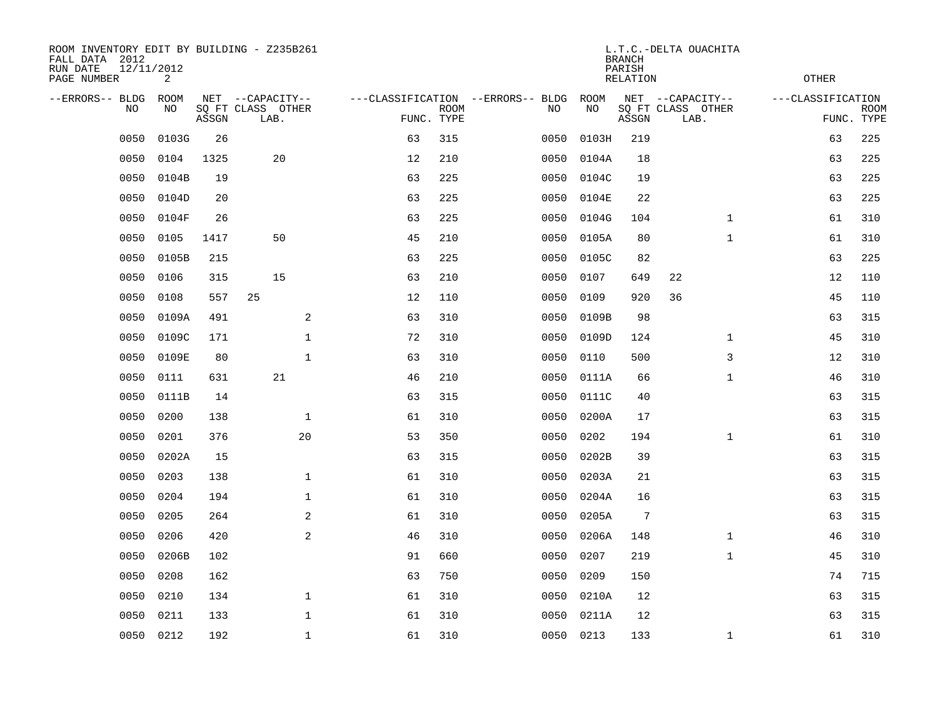| ROOM INVENTORY EDIT BY BUILDING - Z235B261<br>FALL DATA 2012<br>RUN DATE<br>PAGE NUMBER | 12/11/2012<br>2 |       |                           |    | <b>OTHER</b>              |                                   |           |                 |                           |                   |                           |
|-----------------------------------------------------------------------------------------|-----------------|-------|---------------------------|----|---------------------------|-----------------------------------|-----------|-----------------|---------------------------|-------------------|---------------------------|
| --ERRORS-- BLDG                                                                         | ROOM            |       | NET --CAPACITY--          |    |                           | ---CLASSIFICATION --ERRORS-- BLDG | ROOM      |                 | NET --CAPACITY--          | ---CLASSIFICATION |                           |
| NO                                                                                      | NO              | ASSGN | SQ FT CLASS OTHER<br>LAB. |    | <b>ROOM</b><br>FUNC. TYPE | NO                                | NO        | ASSGN           | SQ FT CLASS OTHER<br>LAB. |                   | <b>ROOM</b><br>FUNC. TYPE |
| 0050                                                                                    | 0103G           | 26    |                           | 63 | 315                       | 0050                              | 0103H     | 219             |                           | 63                | 225                       |
| 0050                                                                                    | 0104            | 1325  | 20                        | 12 | 210                       | 0050                              | 0104A     | 18              |                           | 63                | 225                       |
| 0050                                                                                    | 0104B           | 19    |                           | 63 | 225                       | 0050                              | 0104C     | 19              |                           | 63                | 225                       |
| 0050                                                                                    | 0104D           | 20    |                           | 63 | 225                       | 0050                              | 0104E     | 22              |                           | 63                | 225                       |
| 0050                                                                                    | 0104F           | 26    |                           | 63 | 225                       | 0050                              | 0104G     | 104             | $\mathbf{1}$              | 61                | 310                       |
| 0050                                                                                    | 0105            | 1417  | 50                        | 45 | 210                       | 0050                              | 0105A     | 80              | $\mathbf{1}$              | 61                | 310                       |
| 0050                                                                                    | 0105B           | 215   |                           | 63 | 225                       | 0050                              | 0105C     | 82              |                           | 63                | 225                       |
| 0050                                                                                    | 0106            | 315   | 15                        | 63 | 210                       | 0050                              | 0107      | 649             | 22                        | 12                | 110                       |
| 0050                                                                                    | 0108            | 557   | 25                        | 12 | 110                       | 0050                              | 0109      | 920             | 36                        | 45                | 110                       |
| 0050                                                                                    | 0109A           | 491   | 2                         | 63 | 310                       | 0050                              | 0109B     | 98              |                           | 63                | 315                       |
| 0050                                                                                    | 0109C           | 171   | $\mathbf 1$               | 72 | 310                       | 0050                              | 0109D     | 124             | $\mathbf{1}$              | 45                | 310                       |
| 0050                                                                                    | 0109E           | 80    | $\mathbf{1}$              | 63 | 310                       | 0050                              | 0110      | 500             | 3                         | 12                | 310                       |
| 0050                                                                                    | 0111            | 631   | 21                        | 46 | 210                       | 0050                              | 0111A     | 66              | $\mathbf{1}$              | 46                | 310                       |
| 0050                                                                                    | 0111B           | 14    |                           | 63 | 315                       | 0050                              | 0111C     | 40              |                           | 63                | 315                       |
| 0050                                                                                    | 0200            | 138   | $\mathbf 1$               | 61 | 310                       | 0050                              | 0200A     | 17              |                           | 63                | 315                       |
| 0050                                                                                    | 0201            | 376   | 20                        | 53 | 350                       | 0050                              | 0202      | 194             | $\mathbf{1}$              | 61                | 310                       |
| 0050                                                                                    | 0202A           | 15    |                           | 63 | 315                       | 0050                              | 0202B     | 39              |                           | 63                | 315                       |
| 0050                                                                                    | 0203            | 138   | $\mathbf 1$               | 61 | 310                       | 0050                              | 0203A     | 21              |                           | 63                | 315                       |
| 0050                                                                                    | 0204            | 194   | $\mathbf 1$               | 61 | 310                       | 0050                              | 0204A     | 16              |                           | 63                | 315                       |
| 0050                                                                                    | 0205            | 264   | 2                         | 61 | 310                       | 0050                              | 0205A     | $7\phantom{.0}$ |                           | 63                | 315                       |
| 0050                                                                                    | 0206            | 420   | 2                         | 46 | 310                       | 0050                              | 0206A     | 148             | $\mathbf{1}$              | 46                | 310                       |
| 0050                                                                                    | 0206B           | 102   |                           | 91 | 660                       | 0050                              | 0207      | 219             | $\mathbf{1}$              | 45                | 310                       |
| 0050                                                                                    | 0208            | 162   |                           | 63 | 750                       | 0050                              | 0209      | 150             |                           | 74                | 715                       |
| 0050                                                                                    | 0210            | 134   | $\mathbf 1$               | 61 | 310                       | 0050                              | 0210A     | 12              |                           | 63                | 315                       |
| 0050                                                                                    | 0211            | 133   | $\mathbf 1$               | 61 | 310                       | 0050                              | 0211A     | 12              |                           | 63                | 315                       |
| 0050                                                                                    | 0212            | 192   | $\mathbf{1}$              | 61 | 310                       |                                   | 0050 0213 | 133             | $\mathbf{1}$              | 61                | 310                       |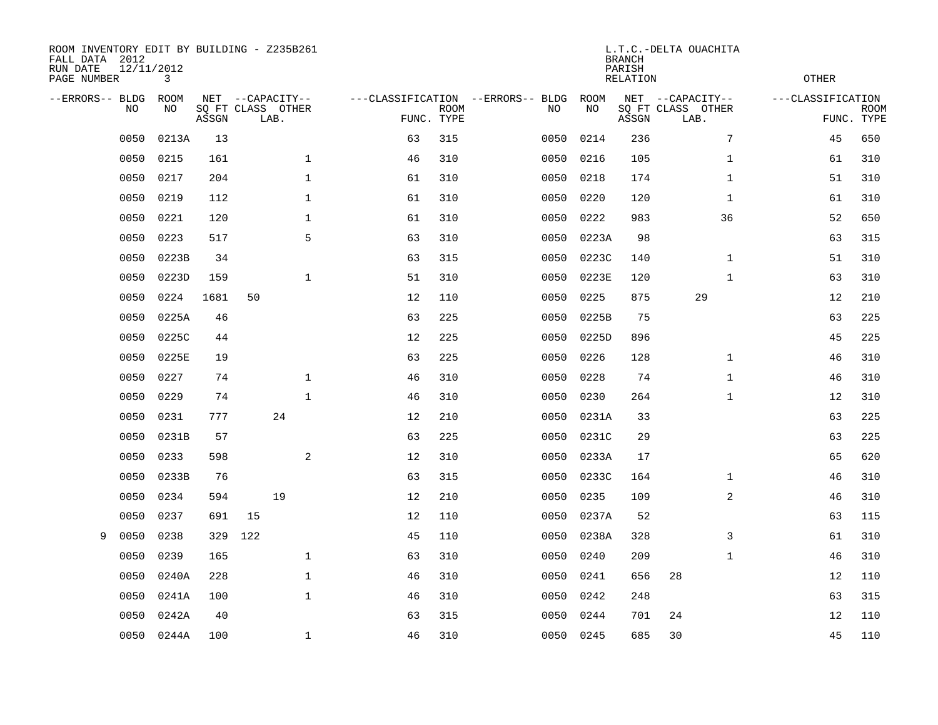| ROOM INVENTORY EDIT BY BUILDING - Z235B261<br>FALL DATA 2012<br>RUN DATE<br>PAGE NUMBER | 12/11/2012<br>3 |       |                                               |              |    | <b>OTHER</b>              |                                   |      |            |       |                                               |                   |                           |
|-----------------------------------------------------------------------------------------|-----------------|-------|-----------------------------------------------|--------------|----|---------------------------|-----------------------------------|------|------------|-------|-----------------------------------------------|-------------------|---------------------------|
| --ERRORS-- BLDG<br>NO                                                                   | ROOM<br>NO      | ASSGN | NET --CAPACITY--<br>SQ FT CLASS OTHER<br>LAB. |              |    | <b>ROOM</b><br>FUNC. TYPE | ---CLASSIFICATION --ERRORS-- BLDG | NO   | ROOM<br>NO | ASSGN | NET --CAPACITY--<br>SQ FT CLASS OTHER<br>LAB. | ---CLASSIFICATION | <b>ROOM</b><br>FUNC. TYPE |
| 0050                                                                                    | 0213A           | 13    |                                               |              | 63 | 315                       |                                   | 0050 | 0214       | 236   | 7                                             | 45                | 650                       |
| 0050                                                                                    | 0215            | 161   |                                               | $\mathbf 1$  | 46 | 310                       |                                   | 0050 | 0216       | 105   | $\mathbf{1}$                                  | 61                | 310                       |
| 0050                                                                                    | 0217            | 204   |                                               | $\mathbf 1$  | 61 | 310                       |                                   | 0050 | 0218       | 174   | $\mathbf{1}$                                  | 51                | 310                       |
| 0050                                                                                    | 0219            | 112   |                                               | $\mathbf 1$  | 61 | 310                       |                                   | 0050 | 0220       | 120   | $\mathbf{1}$                                  | 61                | 310                       |
| 0050                                                                                    | 0221            | 120   |                                               | $\mathbf 1$  | 61 | 310                       |                                   | 0050 | 0222       | 983   | 36                                            | 52                | 650                       |
| 0050                                                                                    | 0223            | 517   |                                               | 5            | 63 | 310                       |                                   | 0050 | 0223A      | 98    |                                               | 63                | 315                       |
| 0050                                                                                    | 0223B           | 34    |                                               |              | 63 | 315                       |                                   | 0050 | 0223C      | 140   | $\mathbf{1}$                                  | 51                | 310                       |
| 0050                                                                                    | 0223D           | 159   |                                               | $\mathbf{1}$ | 51 | 310                       |                                   | 0050 | 0223E      | 120   | $\mathbf{1}$                                  | 63                | 310                       |
| 0050                                                                                    | 0224            | 1681  | 50                                            |              | 12 | 110                       |                                   | 0050 | 0225       | 875   | 29                                            | 12                | 210                       |
| 0050                                                                                    | 0225A           | 46    |                                               |              | 63 | 225                       |                                   | 0050 | 0225B      | 75    |                                               | 63                | 225                       |
| 0050                                                                                    | 0225C           | 44    |                                               |              | 12 | 225                       |                                   | 0050 | 0225D      | 896   |                                               | 45                | 225                       |
| 0050                                                                                    | 0225E           | 19    |                                               |              | 63 | 225                       |                                   | 0050 | 0226       | 128   | $\mathbf{1}$                                  | 46                | 310                       |
| 0050                                                                                    | 0227            | 74    |                                               | $\mathbf{1}$ | 46 | 310                       |                                   | 0050 | 0228       | 74    | $\mathbf{1}$                                  | 46                | 310                       |
| 0050                                                                                    | 0229            | 74    |                                               | $\mathbf{1}$ | 46 | 310                       |                                   | 0050 | 0230       | 264   | $\mathbf{1}$                                  | 12                | 310                       |
| 0050                                                                                    | 0231            | 777   | 24                                            |              | 12 | 210                       |                                   | 0050 | 0231A      | 33    |                                               | 63                | 225                       |
| 0050                                                                                    | 0231B           | 57    |                                               |              | 63 | 225                       |                                   | 0050 | 0231C      | 29    |                                               | 63                | 225                       |
| 0050                                                                                    | 0233            | 598   |                                               | 2            | 12 | 310                       |                                   | 0050 | 0233A      | 17    |                                               | 65                | 620                       |
| 0050                                                                                    | 0233B           | 76    |                                               |              | 63 | 315                       |                                   | 0050 | 0233C      | 164   | $\mathbf{1}$                                  | 46                | 310                       |
| 0050                                                                                    | 0234            | 594   | 19                                            |              | 12 | 210                       |                                   | 0050 | 0235       | 109   | $\overline{a}$                                | 46                | 310                       |
| 0050                                                                                    | 0237            | 691   | 15                                            |              | 12 | 110                       |                                   | 0050 | 0237A      | 52    |                                               | 63                | 115                       |
| 0050<br>9                                                                               | 0238            | 329   | 122                                           |              | 45 | 110                       |                                   | 0050 | 0238A      | 328   | 3                                             | 61                | 310                       |
| 0050                                                                                    | 0239            | 165   |                                               | $\mathbf 1$  | 63 | 310                       |                                   | 0050 | 0240       | 209   | $\mathbf{1}$                                  | 46                | 310                       |
| 0050                                                                                    | 0240A           | 228   |                                               | $\mathbf{1}$ | 46 | 310                       |                                   | 0050 | 0241       | 656   | 28                                            | 12                | 110                       |
| 0050                                                                                    | 0241A           | 100   |                                               | $\mathbf{1}$ | 46 | 310                       |                                   | 0050 | 0242       | 248   |                                               | 63                | 315                       |
| 0050                                                                                    | 0242A           | 40    |                                               |              | 63 | 315                       |                                   | 0050 | 0244       | 701   | 24                                            | 12                | 110                       |
| 0050                                                                                    | 0244A           | 100   |                                               | $\mathbf 1$  | 46 | 310                       |                                   |      | 0050 0245  | 685   | 30                                            | 45                | 110                       |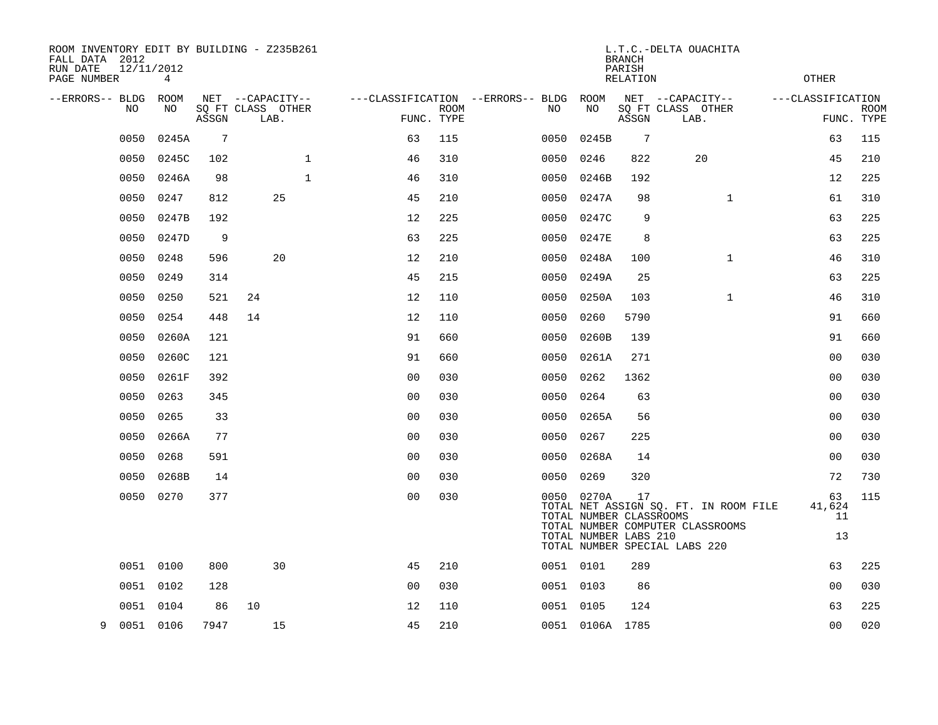| ROOM INVENTORY EDIT BY BUILDING - Z235B261<br>FALL DATA 2012<br>12/11/2012<br>RUN DATE |                 |       |                                       |              |                |             |                                         |                                       | <b>BRANCH</b><br>PARISH | L.T.C.-DELTA OUACHITA                                                     |                    |             |
|----------------------------------------------------------------------------------------|-----------------|-------|---------------------------------------|--------------|----------------|-------------|-----------------------------------------|---------------------------------------|-------------------------|---------------------------------------------------------------------------|--------------------|-------------|
| PAGE NUMBER                                                                            | $4\overline{ }$ |       |                                       |              |                |             |                                         |                                       | <b>RELATION</b>         |                                                                           | <b>OTHER</b>       |             |
| --ERRORS-- BLDG<br>NO                                                                  | ROOM<br>NO      |       | NET --CAPACITY--<br>SQ FT CLASS OTHER |              |                | <b>ROOM</b> | ---CLASSIFICATION --ERRORS-- BLDG<br>NO | ROOM<br>NO                            |                         | NET --CAPACITY--<br>SQ FT CLASS OTHER                                     | ---CLASSIFICATION  | <b>ROOM</b> |
|                                                                                        |                 | ASSGN | LAB.                                  |              | FUNC. TYPE     |             |                                         |                                       | ASSGN                   | LAB.                                                                      |                    | FUNC. TYPE  |
| 0050                                                                                   | 0245A           | 7     |                                       |              | 63             | 115         | 0050                                    | 0245B                                 | 7                       |                                                                           | 63                 | 115         |
| 0050                                                                                   | 0245C           | 102   |                                       | $\mathbf{1}$ | 46             | 310         | 0050                                    | 0246                                  | 822                     | 20                                                                        | 45                 | 210         |
| 0050                                                                                   | 0246A           | 98    |                                       | $\mathbf{1}$ | 46             | 310         |                                         | 0050 0246B                            | 192                     |                                                                           | 12                 | 225         |
| 0050                                                                                   | 0247            | 812   | 25                                    |              | 45             | 210         | 0050                                    | 0247A                                 | 98                      | $\mathbf{1}$                                                              | 61                 | 310         |
| 0050                                                                                   | 0247B           | 192   |                                       |              | 12             | 225         | 0050                                    | 0247C                                 | 9                       |                                                                           | 63                 | 225         |
| 0050                                                                                   | 0247D           | 9     |                                       |              | 63             | 225         | 0050                                    | 0247E                                 | 8                       |                                                                           | 63                 | 225         |
| 0050                                                                                   | 0248            | 596   | 20                                    |              | 12             | 210         | 0050                                    | 0248A                                 | 100                     | $\mathbf{1}$                                                              | 46                 | 310         |
| 0050                                                                                   | 0249            | 314   |                                       |              | 45             | 215         | 0050                                    | 0249A                                 | 25                      |                                                                           | 63                 | 225         |
| 0050                                                                                   | 0250            | 521   | 24                                    |              | 12             | 110         | 0050                                    | 0250A                                 | 103                     | $\mathbf{1}$                                                              | 46                 | 310         |
| 0050                                                                                   | 0254            | 448   | 14                                    |              | 12             | 110         | 0050                                    | 0260                                  | 5790                    |                                                                           | 91                 | 660         |
| 0050                                                                                   | 0260A           | 121   |                                       |              | 91             | 660         | 0050                                    | 0260B                                 | 139                     |                                                                           | 91                 | 660         |
| 0050                                                                                   | 0260C           | 121   |                                       |              | 91             | 660         | 0050                                    | 0261A                                 | 271                     |                                                                           | 0 <sub>0</sub>     | 030         |
| 0050                                                                                   | 0261F           | 392   |                                       |              | 0 <sub>0</sub> | 030         | 0050                                    | 0262                                  | 1362                    |                                                                           | 0 <sub>0</sub>     | 030         |
| 0050                                                                                   | 0263            | 345   |                                       |              | 00             | 030         | 0050                                    | 0264                                  | 63                      |                                                                           | 0 <sub>0</sub>     | 030         |
| 0050                                                                                   | 0265            | 33    |                                       |              | 0 <sub>0</sub> | 030         |                                         | 0050 0265A                            | 56                      |                                                                           | 00                 | 030         |
| 0050                                                                                   | 0266A           | 77    |                                       |              | 0 <sub>0</sub> | 030         | 0050                                    | 0267                                  | 225                     |                                                                           | 0 <sub>0</sub>     | 030         |
|                                                                                        | 0050 0268       | 591   |                                       |              | 0 <sub>0</sub> | 030         |                                         | 0050 0268A                            | 14                      |                                                                           | 0 <sub>0</sub>     | 030         |
| 0050                                                                                   | 0268B           | 14    |                                       |              | 0 <sub>0</sub> | 030         | 0050 0269                               |                                       | 320                     |                                                                           | 72                 | 730         |
|                                                                                        | 0050 0270       | 377   |                                       |              | 0 <sub>0</sub> | 030         |                                         | 0050 0270A<br>TOTAL NUMBER CLASSROOMS | 17                      | TOTAL NET ASSIGN SQ. FT. IN ROOM FILE<br>TOTAL NUMBER COMPUTER CLASSROOMS | 63<br>41,624<br>11 | 115         |
|                                                                                        |                 |       |                                       |              |                |             |                                         | TOTAL NUMBER LABS 210                 |                         | TOTAL NUMBER SPECIAL LABS 220                                             | 13                 |             |
|                                                                                        | 0051 0100       | 800   | 30                                    |              | 45             | 210         | 0051 0101                               |                                       | 289                     |                                                                           | 63                 | 225         |
|                                                                                        | 0051 0102       | 128   |                                       |              | 0 <sub>0</sub> | 030         | 0051 0103                               |                                       | 86                      |                                                                           | 0 <sub>0</sub>     | 030         |
|                                                                                        | 0051 0104       | 86    | 10                                    |              | 12             | 110         |                                         | 0051 0105                             | 124                     |                                                                           | 63                 | 225         |
| 9                                                                                      | 0051 0106       | 7947  | 15                                    |              | 45             | 210         |                                         | 0051 0106A 1785                       |                         |                                                                           | 0 <sub>0</sub>     | 020         |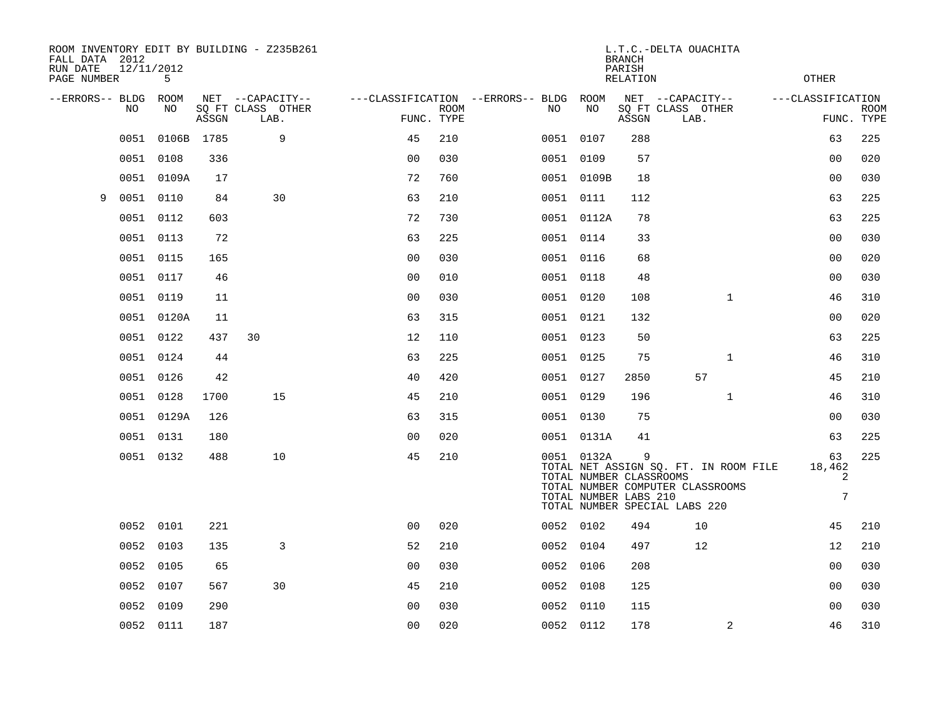| FALL DATA 2012<br>RUN DATE<br>PAGE NUMBER | 12/11/2012 | 5          |       | ROOM INVENTORY EDIT BY BUILDING - Z235B261 | L.T.C.-DELTA OUACHITA<br><b>BRANCH</b><br>PARISH<br><b>OTHER</b><br><b>RELATION</b> |             |  |     |                                                                |       |                                                                                                            |                                      |                           |
|-------------------------------------------|------------|------------|-------|--------------------------------------------|-------------------------------------------------------------------------------------|-------------|--|-----|----------------------------------------------------------------|-------|------------------------------------------------------------------------------------------------------------|--------------------------------------|---------------------------|
| --ERRORS-- BLDG ROOM                      |            |            |       | NET --CAPACITY--                           | ---CLASSIFICATION --ERRORS-- BLDG ROOM                                              |             |  |     |                                                                |       | NET --CAPACITY--                                                                                           | ---CLASSIFICATION                    |                           |
|                                           | NO         | NO         | ASSGN | SQ FT CLASS OTHER<br>LAB.                  | FUNC. TYPE                                                                          | <b>ROOM</b> |  | NO. | NO                                                             | ASSGN | SQ FT CLASS OTHER<br>LAB.                                                                                  |                                      | <b>ROOM</b><br>FUNC. TYPE |
|                                           | 0051       | 0106B 1785 |       | 9                                          | 45                                                                                  | 210         |  |     | 0051 0107                                                      | 288   |                                                                                                            | 63                                   | 225                       |
|                                           | 0051 0108  |            | 336   |                                            | 0 <sub>0</sub>                                                                      | 030         |  |     | 0051 0109                                                      | 57    |                                                                                                            | 00                                   | 020                       |
|                                           |            | 0051 0109A | 17    |                                            | 72                                                                                  | 760         |  |     | 0051 0109B                                                     | 18    |                                                                                                            | 0 <sub>0</sub>                       | 030                       |
| 9                                         | 0051       | 0110       | 84    | 30                                         | 63                                                                                  | 210         |  |     | 0051 0111                                                      | 112   |                                                                                                            | 63                                   | 225                       |
|                                           | 0051 0112  |            | 603   |                                            | 72                                                                                  | 730         |  |     | 0051 0112A                                                     | 78    |                                                                                                            | 63                                   | 225                       |
|                                           | 0051 0113  |            | 72    |                                            | 63                                                                                  | 225         |  |     | 0051 0114                                                      | 33    |                                                                                                            | 0 <sub>0</sub>                       | 030                       |
|                                           | 0051 0115  |            | 165   |                                            | 0 <sub>0</sub>                                                                      | 030         |  |     | 0051 0116                                                      | 68    |                                                                                                            | 0 <sub>0</sub>                       | 020                       |
|                                           | 0051 0117  |            | 46    |                                            | 0 <sub>0</sub>                                                                      | 010         |  |     | 0051 0118                                                      | 48    |                                                                                                            | 0 <sub>0</sub>                       | 030                       |
|                                           | 0051 0119  |            | 11    |                                            | 0 <sub>0</sub>                                                                      | 030         |  |     | 0051 0120                                                      | 108   | $\mathbf{1}$                                                                                               | 46                                   | 310                       |
|                                           |            | 0051 0120A | 11    |                                            | 63                                                                                  | 315         |  |     | 0051 0121                                                      | 132   |                                                                                                            | 0 <sub>0</sub>                       | 020                       |
|                                           | 0051 0122  |            | 437   | 30                                         | 12                                                                                  | 110         |  |     | 0051 0123                                                      | 50    |                                                                                                            | 63                                   | 225                       |
|                                           | 0051       | 0124       | 44    |                                            | 63                                                                                  | 225         |  |     | 0051 0125                                                      | 75    | $\mathbf{1}$                                                                                               | 46                                   | 310                       |
|                                           | 0051 0126  |            | 42    |                                            | 40                                                                                  | 420         |  |     | 0051 0127                                                      | 2850  | 57                                                                                                         | 45                                   | 210                       |
|                                           | 0051 0128  |            | 1700  | 15                                         | 45                                                                                  | 210         |  |     | 0051 0129                                                      | 196   | $\mathbf{1}$                                                                                               | 46                                   | 310                       |
|                                           |            | 0051 0129A | 126   |                                            | 63                                                                                  | 315         |  |     | 0051 0130                                                      | 75    |                                                                                                            | 0 <sub>0</sub>                       | 030                       |
|                                           | 0051 0131  |            | 180   |                                            | 0 <sub>0</sub>                                                                      | 020         |  |     | 0051 0131A                                                     | 41    |                                                                                                            | 63                                   | 225                       |
|                                           | 0051 0132  |            | 488   | 10                                         | 45                                                                                  | 210         |  |     | 0051 0132A<br>TOTAL NUMBER CLASSROOMS<br>TOTAL NUMBER LABS 210 | 9     | TOTAL NET ASSIGN SQ. FT. IN ROOM FILE<br>TOTAL NUMBER COMPUTER CLASSROOMS<br>TOTAL NUMBER SPECIAL LABS 220 | 63<br>18,462<br>2<br>$7\overline{ }$ | 225                       |
|                                           | 0052 0101  |            | 221   |                                            | 0 <sub>0</sub>                                                                      | 020         |  |     | 0052 0102                                                      | 494   | 10                                                                                                         | 45                                   | 210                       |
|                                           | 0052       | 0103       | 135   | 3                                          | 52                                                                                  | 210         |  |     | 0052 0104                                                      | 497   | 12                                                                                                         | 12                                   | 210                       |
|                                           | 0052 0105  |            | 65    |                                            | 0 <sub>0</sub>                                                                      | 030         |  |     | 0052 0106                                                      | 208   |                                                                                                            | 0 <sub>0</sub>                       | 030                       |
|                                           | 0052       | 0107       | 567   | 30                                         | 45                                                                                  | 210         |  |     | 0052 0108                                                      | 125   |                                                                                                            | 0 <sub>0</sub>                       | 030                       |
|                                           | 0052       | 0109       | 290   |                                            | 0 <sub>0</sub>                                                                      | 030         |  |     | 0052 0110                                                      | 115   |                                                                                                            | 0 <sub>0</sub>                       | 030                       |
|                                           | 0052 0111  |            | 187   |                                            | 0 <sub>0</sub>                                                                      | 020         |  |     | 0052 0112                                                      | 178   | 2                                                                                                          | 46                                   | 310                       |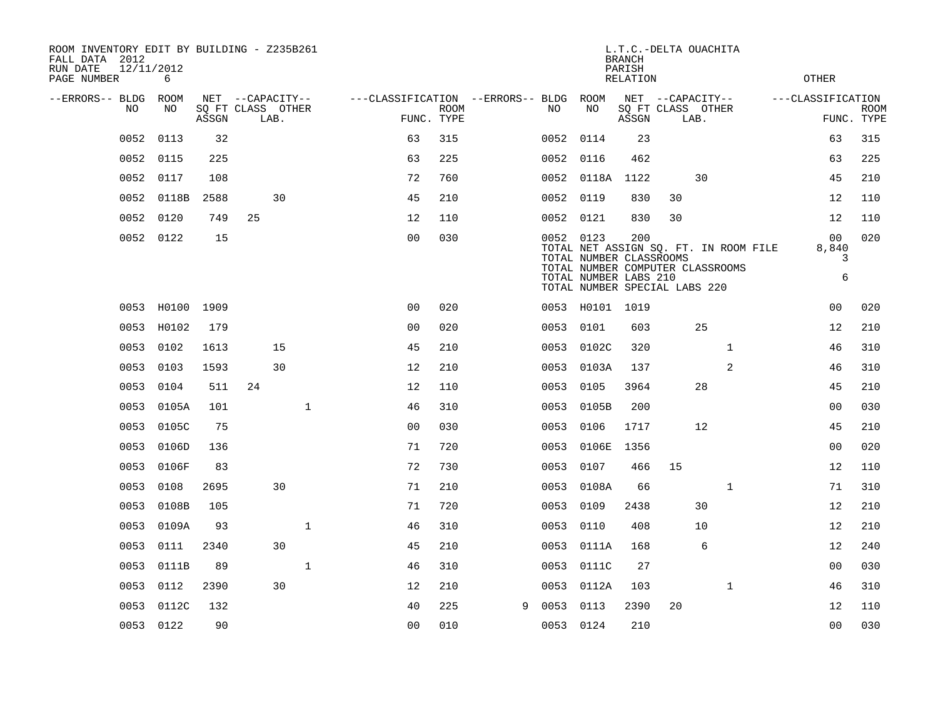| ROOM INVENTORY EDIT BY BUILDING - Z235B261<br>FALL DATA 2012 |            |       |                           |    |              |                                   |                           |   |           |                                                                                   | <b>BRANCH</b>             |    | L.T.C.-DELTA OUACHITA                                                     |                                            |                           |
|--------------------------------------------------------------|------------|-------|---------------------------|----|--------------|-----------------------------------|---------------------------|---|-----------|-----------------------------------------------------------------------------------|---------------------------|----|---------------------------------------------------------------------------|--------------------------------------------|---------------------------|
| 12/11/2012<br>RUN DATE<br>PAGE NUMBER                        | 6          |       |                           |    |              |                                   |                           |   |           |                                                                                   | PARISH<br><b>RELATION</b> |    |                                                                           | <b>OTHER</b>                               |                           |
| --ERRORS-- BLDG ROOM                                         |            |       | NET --CAPACITY--          |    |              | ---CLASSIFICATION --ERRORS-- BLDG |                           |   |           | ROOM                                                                              |                           |    | NET --CAPACITY--                                                          | ---CLASSIFICATION                          |                           |
| NO                                                           | NO         | ASSGN | SQ FT CLASS OTHER<br>LAB. |    |              |                                   | <b>ROOM</b><br>FUNC. TYPE |   | NO        | NO                                                                                | ASSGN                     |    | SQ FT CLASS OTHER<br>LAB.                                                 |                                            | <b>ROOM</b><br>FUNC. TYPE |
| 0052                                                         | 0113       | 32    |                           |    |              | 63                                | 315                       |   | 0052      | 0114                                                                              | 23                        |    |                                                                           | 63                                         | 315                       |
| 0052                                                         | 0115       | 225   |                           |    |              | 63                                | 225                       |   | 0052      | 0116                                                                              | 462                       |    |                                                                           | 63                                         | 225                       |
|                                                              | 0052 0117  | 108   |                           |    |              | 72                                | 760                       |   |           | 0052 0118A                                                                        | 1122                      |    | 30                                                                        | 45                                         | 210                       |
| 0052                                                         | 0118B      | 2588  |                           | 30 |              | 45                                | 210                       |   | 0052      | 0119                                                                              | 830                       | 30 |                                                                           | 12                                         | 110                       |
|                                                              | 0052 0120  | 749   | 25                        |    |              | 12                                | 110                       |   |           | 0052 0121                                                                         | 830                       | 30 |                                                                           | 12                                         | 110                       |
|                                                              | 0052 0122  | 15    |                           |    |              | 0 <sub>0</sub>                    | 030                       |   | 0052 0123 | TOTAL NUMBER CLASSROOMS<br>TOTAL NUMBER LABS 210<br>TOTAL NUMBER SPECIAL LABS 220 | 200                       |    | TOTAL NET ASSIGN SQ. FT. IN ROOM FILE<br>TOTAL NUMBER COMPUTER CLASSROOMS | 0 <sub>0</sub><br>8,840<br>3<br>$\epsilon$ | 020                       |
|                                                              | 0053 H0100 | 1909  |                           |    |              | 0 <sub>0</sub>                    | 020                       |   |           | 0053 H0101                                                                        | 1019                      |    |                                                                           | 0 <sub>0</sub>                             | 020                       |
|                                                              | 0053 H0102 | 179   |                           |    |              | 0 <sub>0</sub>                    | 020                       |   | 0053      | 0101                                                                              | 603                       |    | 25                                                                        | 12                                         | 210                       |
| 0053                                                         | 0102       | 1613  |                           | 15 |              | 45                                | 210                       |   | 0053      | 0102C                                                                             | 320                       |    | $\mathbf{1}$                                                              | 46                                         | 310                       |
| 0053                                                         | 0103       | 1593  |                           | 30 |              | 12                                | 210                       |   |           | 0053 0103A                                                                        | 137                       |    | 2                                                                         | 46                                         | 310                       |
| 0053                                                         | 0104       | 511   | 24                        |    |              | 12                                | 110                       |   | 0053      | 0105                                                                              | 3964                      |    | 28                                                                        | 45                                         | 210                       |
|                                                              | 0053 0105A | 101   |                           |    | $\mathbf{1}$ | 46                                | 310                       |   |           | 0053 0105B                                                                        | 200                       |    |                                                                           | 00                                         | 030                       |
|                                                              | 0053 0105C | 75    |                           |    |              | 0 <sub>0</sub>                    | 030                       |   | 0053      | 0106                                                                              | 1717                      |    | 12                                                                        | 45                                         | 210                       |
|                                                              | 0053 0106D | 136   |                           |    |              | 71                                | 720                       |   | 0053      | 0106E                                                                             | 1356                      |    |                                                                           | 0 <sub>0</sub>                             | 020                       |
|                                                              | 0053 0106F | 83    |                           |    |              | 72                                | 730                       |   | 0053      | 0107                                                                              | 466                       | 15 |                                                                           | 12                                         | 110                       |
|                                                              | 0053 0108  | 2695  |                           | 30 |              | 71                                | 210                       |   |           | 0053 0108A                                                                        | 66                        |    | $\mathbf{1}$                                                              | 71                                         | 310                       |
| 0053                                                         | 0108B      | 105   |                           |    |              | 71                                | 720                       |   | 0053      | 0109                                                                              | 2438                      |    | 30                                                                        | 12                                         | 210                       |
| 0053                                                         | 0109A      | 93    |                           |    | $\mathbf{1}$ | 46                                | 310                       |   | 0053      | 0110                                                                              | 408                       |    | 10                                                                        | 12                                         | 210                       |
| 0053                                                         | 0111       | 2340  |                           | 30 |              | 45                                | 210                       |   | 0053      | 0111A                                                                             | 168                       |    | 6                                                                         | 12                                         | 240                       |
| 0053                                                         | 0111B      | 89    |                           |    | $\mathbf{1}$ | 46                                | 310                       |   |           | 0053 0111C                                                                        | 27                        |    |                                                                           | 0 <sub>0</sub>                             | 030                       |
| 0053                                                         | 0112       | 2390  |                           | 30 |              | 12                                | 210                       |   | 0053      | 0112A                                                                             | 103                       |    | $\mathbf{1}$                                                              | 46                                         | 310                       |
| 0053                                                         | 0112C      | 132   |                           |    |              | 40                                | 225                       | 9 | 0053      | 0113                                                                              | 2390                      | 20 |                                                                           | 12                                         | 110                       |
|                                                              | 0053 0122  | 90    |                           |    |              | 0 <sub>0</sub>                    | 010                       |   | 0053 0124 |                                                                                   | 210                       |    |                                                                           | 0 <sub>0</sub>                             | 030                       |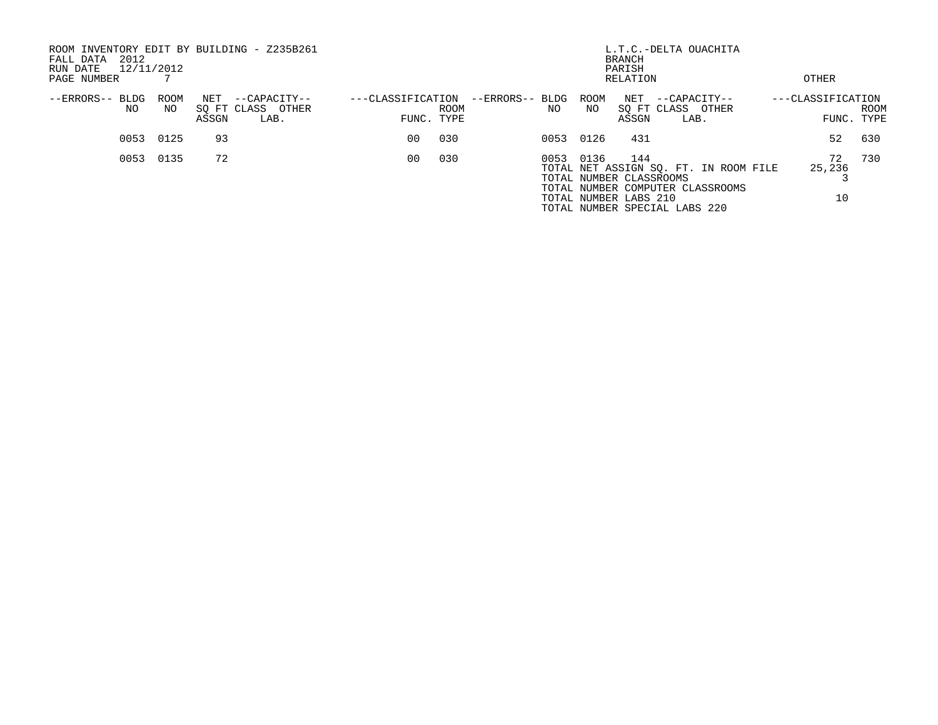| ROOM INVENTORY EDIT BY BUILDING - Z235B261<br>2012<br>FALL DATA<br>12/11/2012<br>RUN DATE<br>PAGE NUMBER |             |              |                                           |                   |                    | L.T.C.-DELTA OUACHITA | OTHER |             |                                                         |                                                                                                            |  |                    |                    |
|----------------------------------------------------------------------------------------------------------|-------------|--------------|-------------------------------------------|-------------------|--------------------|-----------------------|-------|-------------|---------------------------------------------------------|------------------------------------------------------------------------------------------------------------|--|--------------------|--------------------|
| --ERRORS-- BLDG<br>NO.                                                                                   | ROOM<br>NO. | NET<br>ASSGN | --CAPACITY--<br>SO FT CLASS OTHER<br>LAB. | ---CLASSIFICATION | ROOM<br>FUNC. TYPE | --ERRORS-- BLDG       | NO.   | ROOM<br>NO. | NET<br>ASSGN                                            | --CAPACITY--<br>SO FT CLASS OTHER<br>LAB.                                                                  |  | ---CLASSIFICATION  | ROOM<br>FUNC. TYPE |
| 0053                                                                                                     | 0125        | 93           |                                           | 00                | 030                |                       | 0053  | 0126        | 431                                                     |                                                                                                            |  | 52                 | 630                |
| 0053                                                                                                     | 0135        | 72           |                                           | 00                | 030                |                       | 0053  | 0136        | 144<br>TOTAL NUMBER CLASSROOMS<br>TOTAL NUMBER LABS 210 | TOTAL NET ASSIGN SQ. FT. IN ROOM FILE<br>TOTAL NUMBER COMPUTER CLASSROOMS<br>TOTAL NUMBER SPECIAL LABS 220 |  | 72<br>25,236<br>10 | 730                |